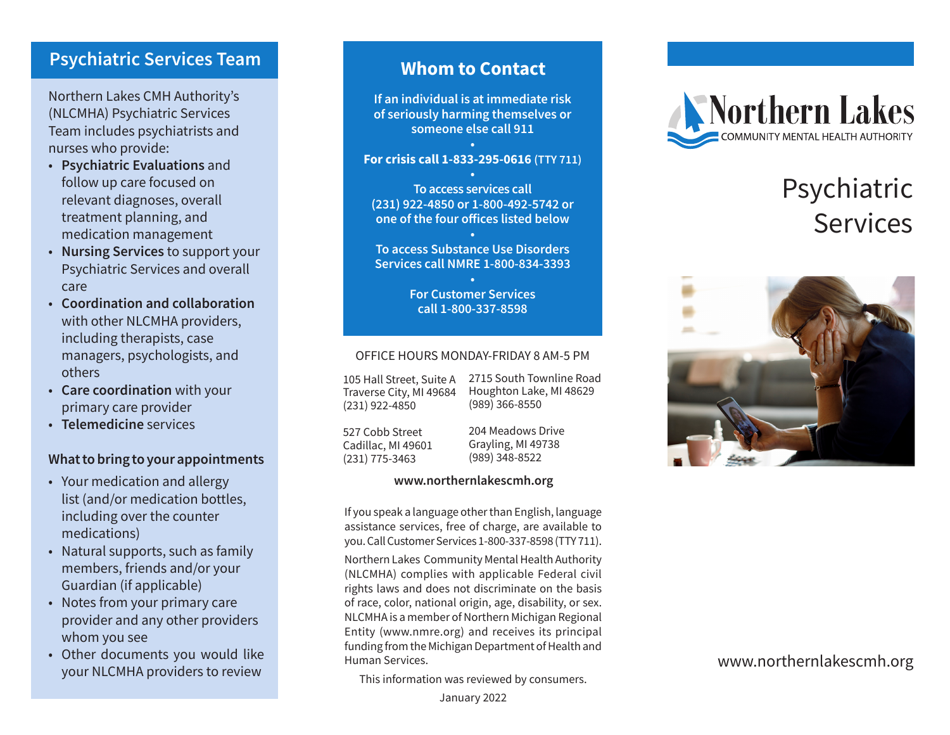### **Psychiatric Services Team**

Northern Lakes CMH Authority's (NLCMHA) Psychiatric Services Team includes psychiatrists and nurses who provide:

- • **Psychiatric Evaluations** and follow up care focused on relevant diagnoses, overall treatment planning, and medication management
- • **Nursing Services** to support your Psychiatric Services and overall care
- • **Coordination and collaboration** with other NLCMHA providers, including therapists, case managers, psychologists, and others
- • **Care coordination** with your primary care provider
- • **Telemedicine** services

### **What to bring to your appointments**

- Your medication and allergy list (and/or medication bottles, including over the counter medications)
- Natural supports, such as family members, friends and/or your Guardian (if applicable)
- Notes from your primary care provider and any other providers whom you see
- Other documents you would like your NLCMHA providers to review

# **Whom to Contact**

**If an individual is at immediate risk of seriously harming themselves or someone else call 911**

### **• For crisis call 1-833-295-0616 (TTY 711)**

**• To access services call (231) 922-4850 or 1-800-492-5742 or one of the four offices listed below**

**• To access Substance Use Disorders Services call NMRE 1-800-834-3393**

> **• For Customer Services call 1-800-337-8598**

### OFFICE HOURS MONDAY-FRIDAY 8 AM-5 PM

105 Hall Street, Suite A Traverse City, MI 49684 (231) 922-4850

2715 South Townline Road Houghton Lake, MI 48629 (989) 366-8550

527 Cobb Street Cadillac, MI 49601 (231) 775-3463

204 Meadows Drive Grayling, MI 49738 (989) 348-8522

### **www.northernlakescmh.org**

If you speak a language other than English, language assistance services, free of charge, are available to you. Call Customer Services 1-800-337-8598 (TTY 711).

Northern Lakes Community Mental Health Authority (NLCMHA) complies with applicable Federal civil rights laws and does not discriminate on the basis of race, color, national origin, age, disability, or sex. NLCMHA is a member of Northern Michigan Regional Entity (www.nmre.org) and receives its principal funding from the Michigan Department of Health and Human Services.

This information was reviewed by consumers.



# Psychiatric Services



### www.northernlakescmh.org